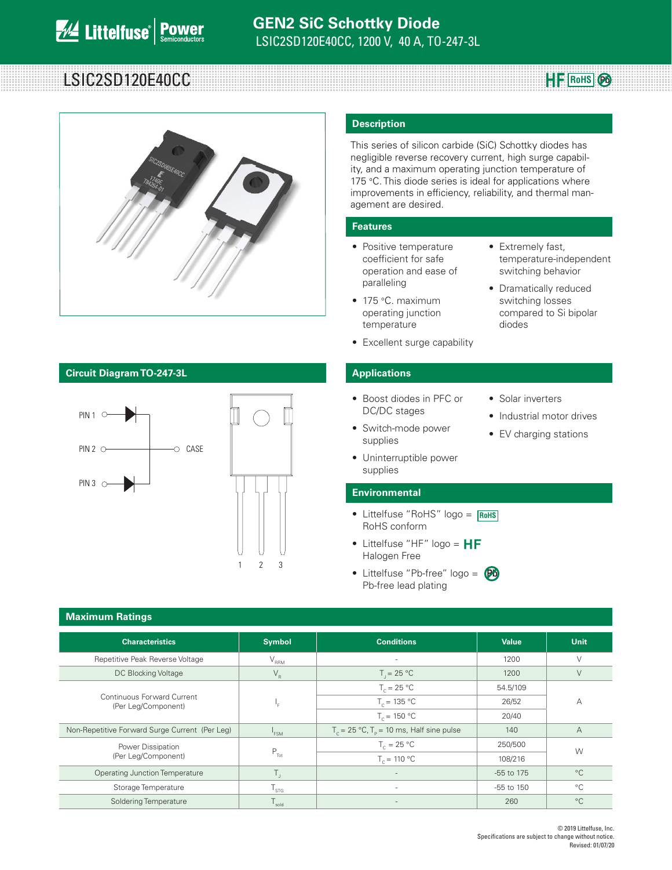# LSIC2SD120E40CC



### **Circuit Diagram TO-247-3L Applications**



#### **Description**

This series of silicon carbide (SiC) Schottky diodes has negligible reverse recovery current, high surge capability, and a maximum operating junction temperature of 175 °C. This diode series is ideal for applications where improvements in efficiency, reliability, and thermal management are desired.

• Extremely fast,

diodes

• Solar inverters

• Industrial motor drives • EV charging stations

temperature-independent switching behavior • Dramatically reduced switching losses compared to Si bipolar

**HF** RoHS  $\otimes$ 

#### **Features**

- Positive temperature coefficient for safe operation and ease of paralleling
- 175 °C. maximum operating junction temperature
- Excellent surge capability

- Boost diodes in PFC or DC/DC stages
- Switch-mode power supplies
- Uninterruptible power supplies

#### **Environmental**

- Littelfuse "RoHS" logo = **RoHS** RoHS conform
- Littelfuse "HF" logo = HF Halogen Free
- Littelfuse "Pb-free" logo = **Pb** Pb-free lead plating

| <b>Maximum Ratings</b>                                   |                             |                                                                 |                |                |  |
|----------------------------------------------------------|-----------------------------|-----------------------------------------------------------------|----------------|----------------|--|
| <b>Characteristics</b>                                   | <b>Symbol</b>               | <b>Conditions</b>                                               | <b>Value</b>   | Unit           |  |
| Repetitive Peak Reverse Voltage                          | $\mathsf{V}_{\mathsf{RRM}}$ | ٠                                                               | 1200           | V              |  |
| DC Blocking Voltage                                      | $V_R$                       | $T = 25 °C$                                                     | 1200           | V              |  |
|                                                          | ۰.                          | $T_c = 25 °C$                                                   | 54.5/109       | A              |  |
| <b>Continuous Forward Current</b><br>(Per Leg/Component) |                             | $T_c = 135 °C$                                                  | 26/52          |                |  |
|                                                          |                             | $T_c = 150 °C$                                                  | 20/40          |                |  |
| Non-Repetitive Forward Surge Current (Per Leg)           | $I_{FSM}$                   | $T_c = 25 \text{ °C}$ , $T_p = 10 \text{ ms}$ , Half sine pulse | 140            | $\overline{A}$ |  |
| Power Dissipation                                        |                             | $T_c = 25 °C$                                                   | 250/500        | W              |  |
| (Per Leg/Component)                                      | $P_{\text{Tot}}$            | $T_c = 110 °C$                                                  | 108/216        |                |  |
| <b>Operating Junction Temperature</b>                    | Τ.                          |                                                                 | -55 to 175     | $^{\circ}C$    |  |
| Storage Temperature                                      | $T_{\rm STG}$               | $\overline{\phantom{a}}$                                        | $-55$ to $150$ | $^{\circ}C$    |  |
| Soldering Temperature                                    | $T_{\rm sold}$              | ٠                                                               | 260            | $^{\circ}C$    |  |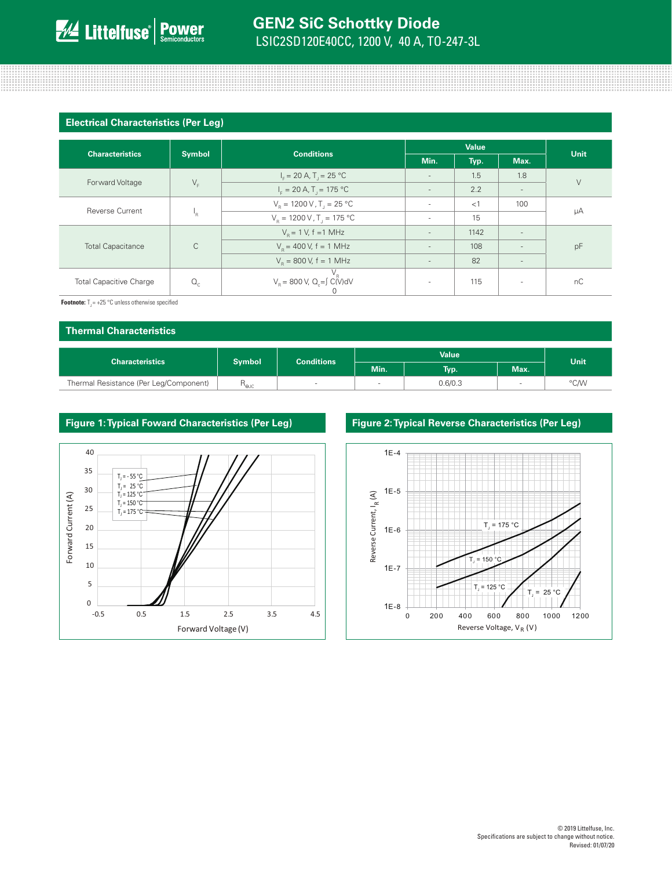#### **Electrical Characteristics (Per Leg)**

| <b>Symbol</b><br><b>Characteristics</b> |              | <b>Conditions</b>                                        | <b>Value</b>             |      |                   |             |  |
|-----------------------------------------|--------------|----------------------------------------------------------|--------------------------|------|-------------------|-------------|--|
|                                         |              |                                                          | Min.                     | Typ. | Max.              | <b>Unit</b> |  |
| $V_F$<br>Forward Voltage                |              | $I_F = 20 A, T_J = 25 °C$                                | $\overline{\phantom{a}}$ | 1.5  | 1.8               | $\vee$      |  |
|                                         |              | $I_{\rm F} = 20 \text{ A}$ , T <sub>1</sub> = 175 °C     |                          | 2.2  |                   |             |  |
| <b>Reverse Current</b>                  |              | $V_B = 1200 V, T_J = 25 °C$                              | ۰                        | <1   | 100               | μA          |  |
|                                         | ١R           | $V_{\rm B} = 1200 \,\rm V$ , T <sub>1</sub> = 175 °C     | ٠                        | 15   |                   |             |  |
| <b>Total Capacitance</b>                |              | $V_{\rm B} = 1$ V, f = 1 MHz                             | $\overline{\phantom{a}}$ | 1142 | ٠.                |             |  |
|                                         | $\mathsf{C}$ | $V_p = 400 V$ , f = 1 MHz                                | $\overline{\phantom{a}}$ | 108  |                   | pF          |  |
|                                         |              | $V_p = 800 V$ , f = 1 MHz                                | $\overline{\phantom{a}}$ | 82   | $\qquad \qquad -$ |             |  |
| <b>Total Capacitive Charge</b>          | $Q_{\alpha}$ | $V_R$ = 800 V, Q <sub>c</sub> = $\int C(V) dV$<br>$\cup$ | ٠                        | 115  | $\sim$            | nC          |  |

**Footnote:**  $T_1 = +25 \degree C$  unless otherwise specified

| │ Thermal Characteristics ⊦            |                     |                   |              |         |      |      |
|----------------------------------------|---------------------|-------------------|--------------|---------|------|------|
|                                        |                     |                   | <b>Value</b> |         |      | Unit |
| <b>Characteristics</b>                 | <b>Symbol</b>       | <b>Conditions</b> | Min.         | Typ.    | Max. |      |
| Thermal Resistance (Per Leg/Component) | $R_{\rm \Theta JC}$ | $\sim$            | $\sim$       | 0.6/0.3 |      | °C/W |



### **Figure 1: Typical Foward Characteristics (Per Leg) Figure 2: Typical Reverse Characteristics (Per Leg)**

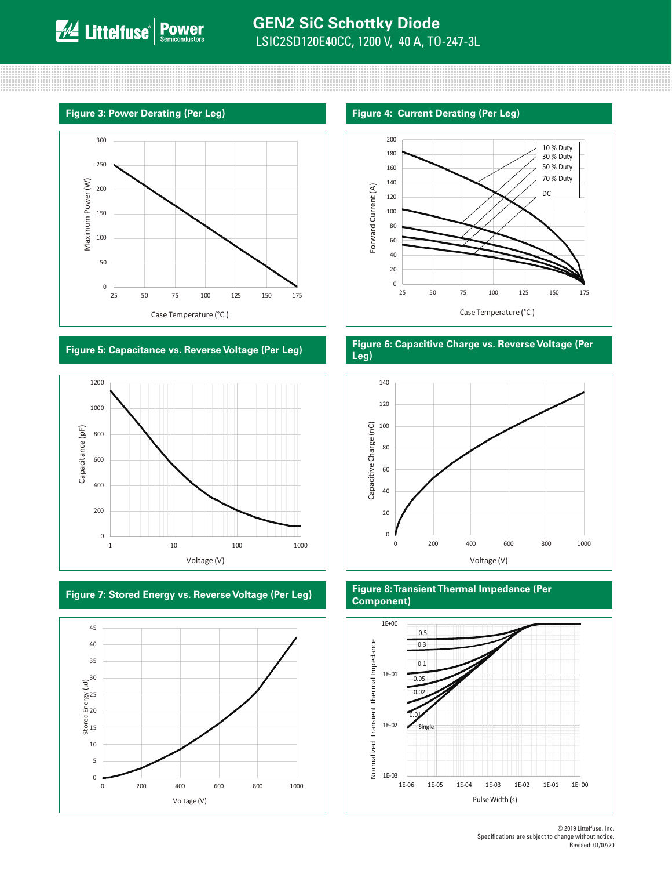







#### **Figure 3: Power Derating (Per Leg) Figure 4: Current Derating (Per Leg)**



#### **Figure 5: Capacitance vs. Reverse Voltage (Per Leg) Figure 6: Capacitive Charge vs. Reverse Voltage (Per Leg)**



### **Figure 7: Stored Energy vs. Reverse Voltage (Per Leg) Figure 8: Transient Thermal Impedance (Per Component)**

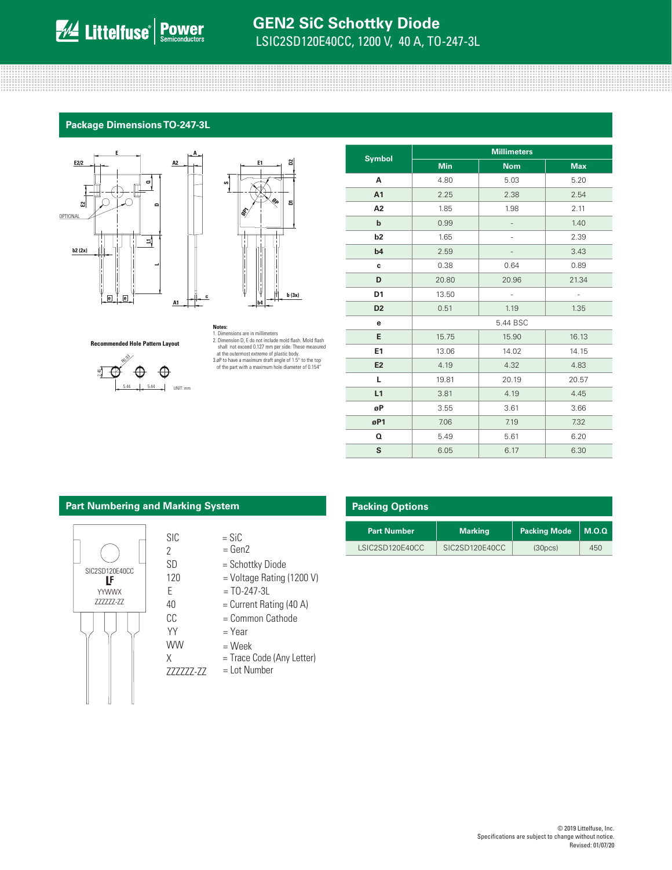## **GEN2 SiC Schottky Diode** LSIC2SD120E40CC, 1200 V, 40 A, TO-247-3L

the contract of the contract of the contract of the contract of the contract of the contract of the contract of 

#### **Package Dimensions TO-247-3L**

**A**

**c**





**Recommended Hole Pattern Layout**



#### **Notes:**

1. Dimensions are in millimeters 2. Dimension D, E do not include mold flash. Mold flash shall not exceed 0.127 mm per side. These measured<br>at the outermost extreme of plastic body.<br>3.øP to have a maximum draft angle of 1.5° to the top<br>of the part with a maximum hole diameter of 0.154"

|                | <b>Millimeters</b> |               |                          |  |  |
|----------------|--------------------|---------------|--------------------------|--|--|
| <b>Symbol</b>  | <b>Min</b>         | <b>Nom</b>    | <b>Max</b>               |  |  |
| A              | 4.80               | 5.03          | 5.20                     |  |  |
| A1             | 2.25               | 2.38          | 2.54                     |  |  |
| A <sub>2</sub> | 1.85               | 1.98          | 2.11                     |  |  |
| $\mathbf b$    | 0.99               |               | 1.40                     |  |  |
| b <sub>2</sub> | 1.65               |               | 2.39                     |  |  |
| b4             | 2.59               |               | 3.43                     |  |  |
| c              | 0.38               | 0.64          | 0.89                     |  |  |
| D              | 20.80              | 20.96         | 21.34                    |  |  |
| D <sub>1</sub> | 13.50              | $\frac{1}{2}$ | $\overline{\phantom{a}}$ |  |  |
| D <sub>2</sub> | 0.51               | 1.19          | 1.35                     |  |  |
| е              | 5.44 BSC           |               |                          |  |  |
| E              | 15.75              | 15.90         | 16.13                    |  |  |
| E1             | 13.06              | 14.02         | 14.15                    |  |  |
| E <sub>2</sub> | 4.19               | 4.32          | 4.83                     |  |  |
| г              | 19.81              | 20.19         | 20.57                    |  |  |
| L1             | 3.81               | 4.19          | 4.45                     |  |  |
| øP             | 3.55               | 3.61          | 3.66                     |  |  |
| øP1            | 7.06               | 7.19          | 7.32                     |  |  |
| Q              | 5.49               | 5.61          | 6.20                     |  |  |
| S              | 6.05               | 6.17          | 6.30                     |  |  |

#### **Part Numbering and Marking System**

SIC 2 SD

120

YY WW X

CC

40



- $=$  SiC
- $=$  Gen2
- = Schottky Diode
- = Voltage Rating (1200 V)
- $E = TO-247-3L$ 
	- = Current Rating (40 A)
	- = Common Cathode
	- = Year
	- = Week
	- = Trace Code (Any Letter)
- ZZZZZZ-ZZ = Lot Number

#### **Packing Options**

| <b>Part Number</b> | <b>Marking</b> | <b>Packing Mode</b>  | M.O.Q |
|--------------------|----------------|----------------------|-------|
| LSIC2SD120F40CC    | SIC2SD120E40CC | (30 <sub>DCS</sub> ) | 450   |